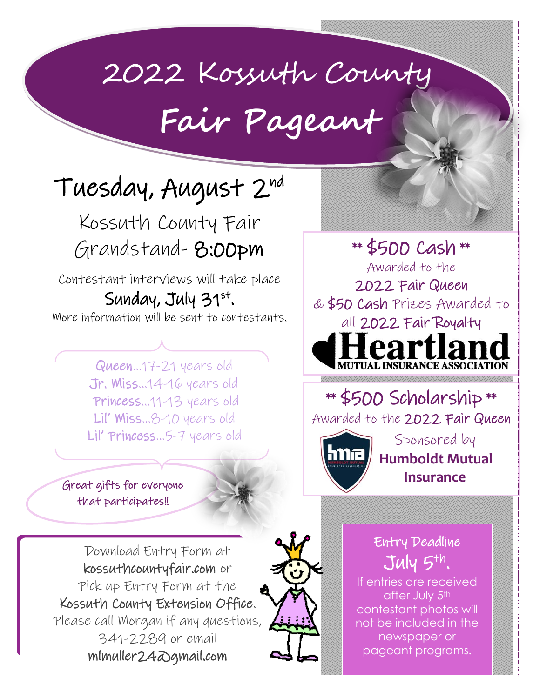## 2022 Kossuth County

## **Fair Pageant**

## Tuesday, August 2nd

Kossuth County Fair Grandstand- 8:00pm

Contestant interviews will take place Sunday, July  $31^{st}$ . More information will be sent to contestants.

> Queen…17-21 years old Jr. Miss…14-16 years old Princess…11-13 years old Lil' Miss…8-10 years old Lil' Princess…5-7 years old

Great gifts for everyone that participates!!



Download Entry Form at kossuthcountyfair.com or Pick up Entry Form at the Kossuth County Extension Office. Please call Morgan if any questions, 341-2289 or email mlmuller24@gmail.com



Entry Deadline  $J$ uly  $5$ <sup>th</sup>.

\*\* \$500 Scholarship \*\*

\*\* \$500 Cash \*\*

Awarded to the

2022 Fair Queen & \$50 Cash Prizes Awarded to

all 2022 Fair Royalty

agrík

Awarded to the 2022 Fair Queen

 **Humboldt Mutual** 

Sponsored by

 **Insurance**

If entries are received after July 5<sup>th</sup> contestant photos will not be included in the newspaper or pageant programs.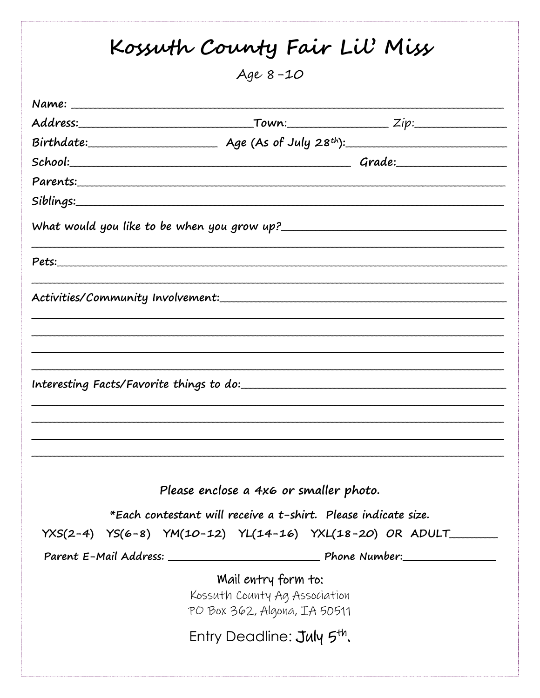| Age 8-10                                                       |  |
|----------------------------------------------------------------|--|
|                                                                |  |
|                                                                |  |
| $Birthdate:$ Age (As of July 28 <sup>th</sup> ):               |  |
|                                                                |  |
|                                                                |  |
|                                                                |  |
|                                                                |  |
|                                                                |  |
|                                                                |  |
|                                                                |  |
|                                                                |  |
|                                                                |  |
|                                                                |  |
|                                                                |  |
|                                                                |  |
|                                                                |  |
|                                                                |  |
|                                                                |  |
|                                                                |  |
|                                                                |  |
| Please enclose a 4x6 or smaller photo.                         |  |
| *Each contestant will receive a t-shirt. Please indicate size. |  |
| YXS(2-4) YS(6-8) YM(10-12) YL(14-16) YXL(18-20) OR ADULT       |  |
|                                                                |  |
|                                                                |  |
| Mail entry form to:<br>Kossuth County Ag Association           |  |
| PO Box 362, Algona, IA 50511                                   |  |